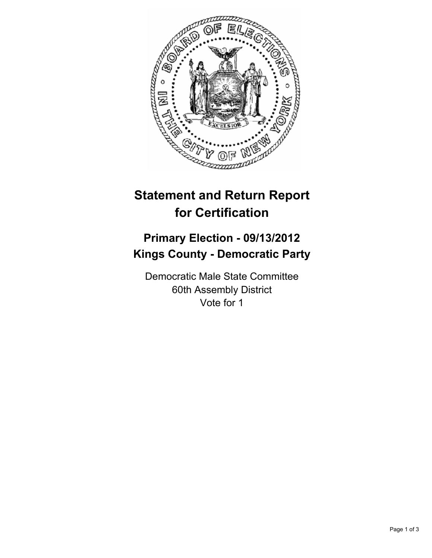

## **Statement and Return Report for Certification**

## **Primary Election - 09/13/2012 Kings County - Democratic Party**

Democratic Male State Committee 60th Assembly District Vote for 1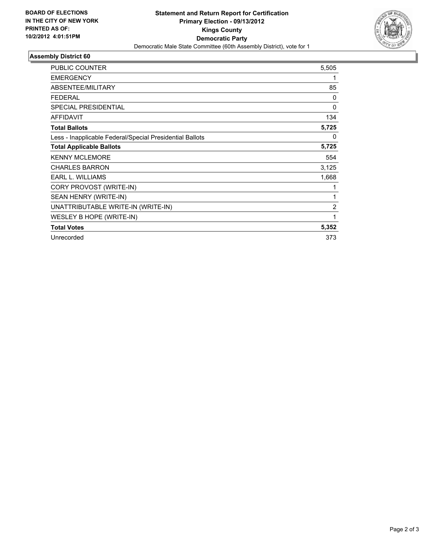

## **Assembly District 60**

| <b>PUBLIC COUNTER</b>                                    | 5,505          |
|----------------------------------------------------------|----------------|
| <b>EMERGENCY</b>                                         | 1              |
| ABSENTEE/MILITARY                                        | 85             |
| <b>FEDERAL</b>                                           | 0              |
| SPECIAL PRESIDENTIAL                                     | $\mathbf{0}$   |
| <b>AFFIDAVIT</b>                                         | 134            |
| <b>Total Ballots</b>                                     | 5,725          |
| Less - Inapplicable Federal/Special Presidential Ballots | 0              |
| <b>Total Applicable Ballots</b>                          | 5,725          |
| <b>KENNY MCLEMORE</b>                                    | 554            |
| <b>CHARLES BARRON</b>                                    | 3,125          |
| <b>EARL L. WILLIAMS</b>                                  | 1,668          |
| CORY PROVOST (WRITE-IN)                                  | 1              |
| SEAN HENRY (WRITE-IN)                                    | 1              |
| UNATTRIBUTABLE WRITE-IN (WRITE-IN)                       | $\overline{2}$ |
| WESLEY B HOPE (WRITE-IN)                                 | 1              |
| <b>Total Votes</b>                                       | 5,352          |
| Unrecorded                                               | 373            |